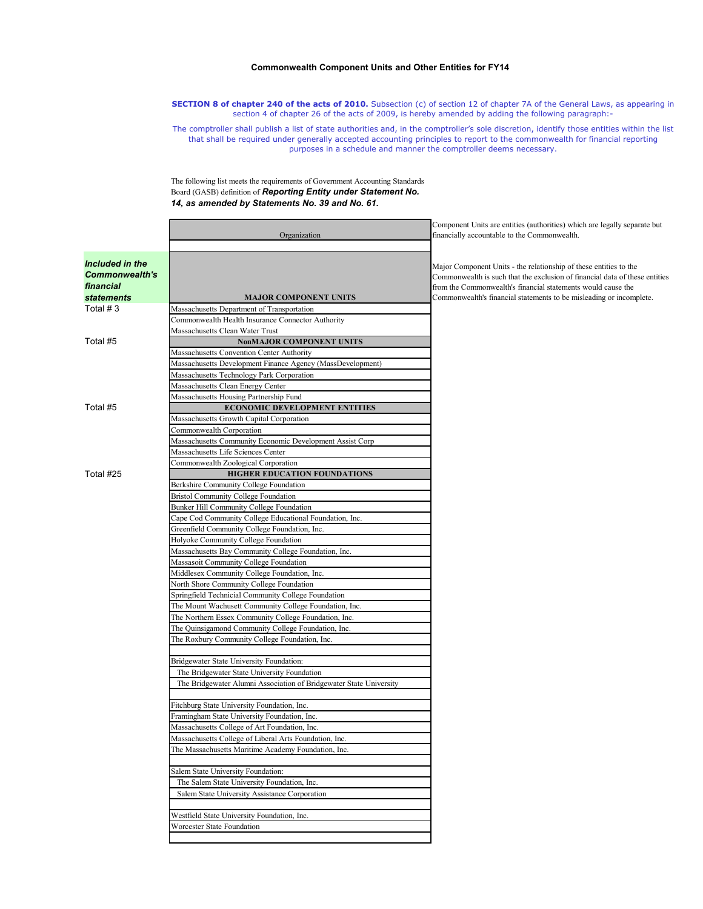## **Commonwealth Component Units and Other Entities for FY14**

**SECTION 8 of chapter 240 of the acts of 2010.** Subsection (c) of section 12 of chapter 7A of the General Laws, as appearing in section 4 of chapter 26 of the acts of 2009, is hereby amended by adding the following paragraph:-

The comptroller shall publish a list of state authorities and, in the comptroller's sole discretion, identify those entities within the list that shall be required under generally accepted accounting principles to report to the commonwealth for financial reporting purposes in a schedule and manner the comptroller deems necessary.

The following list meets the requirements of Government Accounting Standards Board (GASB) definition of *Reporting Entity under Statement No. 14, as amended by Statements No. 39 and No. 61.*

Г

|                                                                                   | Organization                                                       | Component Units are entities (authorities) which are legally separate but<br>financially accountable to the Commonwealth.                                                                                                                                                               |
|-----------------------------------------------------------------------------------|--------------------------------------------------------------------|-----------------------------------------------------------------------------------------------------------------------------------------------------------------------------------------------------------------------------------------------------------------------------------------|
| <b>Included in the</b><br><b>Commonwealth's</b><br>financial<br><b>statements</b> | <b>MAJOR COMPONENT UNITS</b>                                       | Major Component Units - the relationship of these entities to the<br>Commonwealth is such that the exclusion of financial data of these entities<br>from the Commonwealth's financial statements would cause the<br>Commonwealth's financial statements to be misleading or incomplete. |
| Total $#3$                                                                        | Massachusetts Department of Transportation                         |                                                                                                                                                                                                                                                                                         |
|                                                                                   | Commonwealth Health Insurance Connector Authority                  |                                                                                                                                                                                                                                                                                         |
|                                                                                   | Massachusetts Clean Water Trust                                    |                                                                                                                                                                                                                                                                                         |
| Total #5                                                                          | <b>NonMAJOR COMPONENT UNITS</b>                                    |                                                                                                                                                                                                                                                                                         |
|                                                                                   | Massachusetts Convention Center Authority                          |                                                                                                                                                                                                                                                                                         |
|                                                                                   | Massachusetts Development Finance Agency (MassDevelopment)         |                                                                                                                                                                                                                                                                                         |
|                                                                                   | Massachusetts Technology Park Corporation                          |                                                                                                                                                                                                                                                                                         |
|                                                                                   | Massachusetts Clean Energy Center                                  |                                                                                                                                                                                                                                                                                         |
|                                                                                   | Massachusetts Housing Partnership Fund                             |                                                                                                                                                                                                                                                                                         |
| Total #5                                                                          | <b>ECONOMIC DEVELOPMENT ENTITIES</b>                               |                                                                                                                                                                                                                                                                                         |
|                                                                                   | Massachusetts Growth Capital Corporation                           |                                                                                                                                                                                                                                                                                         |
|                                                                                   | Commonwealth Corporation                                           |                                                                                                                                                                                                                                                                                         |
|                                                                                   | Massachusetts Community Economic Development Assist Corp           |                                                                                                                                                                                                                                                                                         |
|                                                                                   | Massachusetts Life Sciences Center                                 |                                                                                                                                                                                                                                                                                         |
|                                                                                   | Commonwealth Zoological Corporation                                |                                                                                                                                                                                                                                                                                         |
| Total #25                                                                         | HIGHER EDUCATION FOUNDATIONS                                       |                                                                                                                                                                                                                                                                                         |
|                                                                                   | Berkshire Community College Foundation                             |                                                                                                                                                                                                                                                                                         |
|                                                                                   | <b>Bristol Community College Foundation</b>                        |                                                                                                                                                                                                                                                                                         |
|                                                                                   | Bunker Hill Community College Foundation                           |                                                                                                                                                                                                                                                                                         |
|                                                                                   | Cape Cod Community College Educational Foundation, Inc.            |                                                                                                                                                                                                                                                                                         |
|                                                                                   | Greenfield Community College Foundation, Inc.                      |                                                                                                                                                                                                                                                                                         |
|                                                                                   | Holyoke Community College Foundation                               |                                                                                                                                                                                                                                                                                         |
|                                                                                   | Massachusetts Bay Community College Foundation, Inc.               |                                                                                                                                                                                                                                                                                         |
|                                                                                   | Massasoit Community College Foundation                             |                                                                                                                                                                                                                                                                                         |
|                                                                                   | Middlesex Community College Foundation, Inc.                       |                                                                                                                                                                                                                                                                                         |
|                                                                                   | North Shore Community College Foundation                           |                                                                                                                                                                                                                                                                                         |
|                                                                                   | Springfield Technicial Community College Foundation                |                                                                                                                                                                                                                                                                                         |
|                                                                                   | The Mount Wachusett Community College Foundation, Inc.             |                                                                                                                                                                                                                                                                                         |
|                                                                                   | The Northern Essex Community College Foundation, Inc.              |                                                                                                                                                                                                                                                                                         |
|                                                                                   | The Quinsigamond Community College Foundation, Inc.                |                                                                                                                                                                                                                                                                                         |
|                                                                                   | The Roxbury Community College Foundation, Inc.                     |                                                                                                                                                                                                                                                                                         |
|                                                                                   |                                                                    |                                                                                                                                                                                                                                                                                         |
|                                                                                   | Bridgewater State University Foundation:                           |                                                                                                                                                                                                                                                                                         |
|                                                                                   | The Bridgewater State University Foundation                        |                                                                                                                                                                                                                                                                                         |
|                                                                                   | The Bridgewater Alumni Association of Bridgewater State University |                                                                                                                                                                                                                                                                                         |
|                                                                                   | Fitchburg State University Foundation, Inc.                        |                                                                                                                                                                                                                                                                                         |
|                                                                                   | Framingham State University Foundation, Inc.                       |                                                                                                                                                                                                                                                                                         |
|                                                                                   | Massachusetts College of Art Foundation, Inc.                      |                                                                                                                                                                                                                                                                                         |
|                                                                                   | Massachusetts College of Liberal Arts Foundation, Inc.             |                                                                                                                                                                                                                                                                                         |
|                                                                                   | The Massachusetts Maritime Academy Foundation, Inc.                |                                                                                                                                                                                                                                                                                         |
|                                                                                   | Salem State University Foundation:                                 |                                                                                                                                                                                                                                                                                         |
|                                                                                   | The Salem State University Foundation, Inc.                        |                                                                                                                                                                                                                                                                                         |
|                                                                                   | Salem State University Assistance Corporation                      |                                                                                                                                                                                                                                                                                         |
|                                                                                   | Westfield State University Foundation, Inc.                        |                                                                                                                                                                                                                                                                                         |
|                                                                                   | Worcester State Foundation                                         |                                                                                                                                                                                                                                                                                         |
|                                                                                   |                                                                    |                                                                                                                                                                                                                                                                                         |
|                                                                                   |                                                                    |                                                                                                                                                                                                                                                                                         |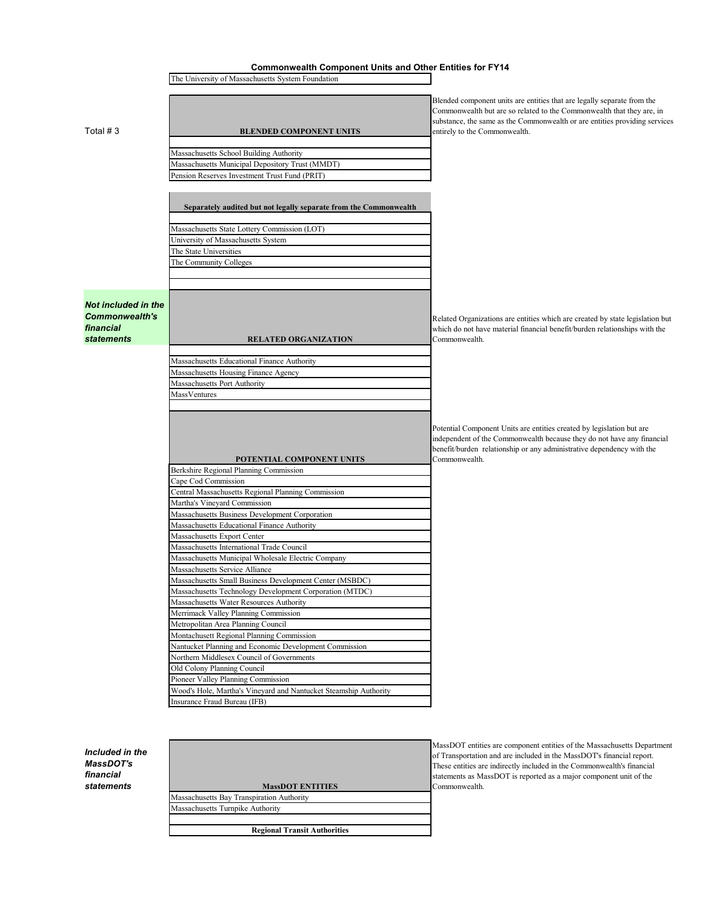| <b>Commonwealth Component Units and Other Entities for FY14</b> |                                                                                                                                     |                                                                                                                                                                                                                                                                 |  |  |
|-----------------------------------------------------------------|-------------------------------------------------------------------------------------------------------------------------------------|-----------------------------------------------------------------------------------------------------------------------------------------------------------------------------------------------------------------------------------------------------------------|--|--|
|                                                                 | The University of Massachusetts System Foundation                                                                                   |                                                                                                                                                                                                                                                                 |  |  |
| Total $# 3$                                                     | <b>BLENDED COMPONENT UNITS</b>                                                                                                      | Blended component units are entities that are legally separate from the<br>Commonwealth but are so related to the Commonwealth that they are, in<br>substance, the same as the Commonwealth or are entities providing services<br>entirely to the Commonwealth. |  |  |
|                                                                 | Massachusetts School Building Authority                                                                                             |                                                                                                                                                                                                                                                                 |  |  |
|                                                                 | Massachusetts Municipal Depository Trust (MMDT)                                                                                     |                                                                                                                                                                                                                                                                 |  |  |
|                                                                 | Pension Reserves Investment Trust Fund (PRIT)                                                                                       |                                                                                                                                                                                                                                                                 |  |  |
|                                                                 | Separately audited but not legally separate from the Commonwealth                                                                   |                                                                                                                                                                                                                                                                 |  |  |
|                                                                 | Massachusetts State Lottery Commission (LOT)                                                                                        |                                                                                                                                                                                                                                                                 |  |  |
|                                                                 | University of Massachusetts System                                                                                                  |                                                                                                                                                                                                                                                                 |  |  |
|                                                                 | The State Universities                                                                                                              |                                                                                                                                                                                                                                                                 |  |  |
|                                                                 | The Community Colleges                                                                                                              |                                                                                                                                                                                                                                                                 |  |  |
|                                                                 |                                                                                                                                     |                                                                                                                                                                                                                                                                 |  |  |
| <b>Not included in the</b><br><b>Commonwealth's</b>             |                                                                                                                                     | Related Organizations are entities which are created by state legislation but                                                                                                                                                                                   |  |  |
| financial                                                       |                                                                                                                                     | which do not have material financial benefit/burden relationships with the                                                                                                                                                                                      |  |  |
| <b>statements</b>                                               | <b>RELATED ORGANIZATION</b>                                                                                                         | Commonwealth.                                                                                                                                                                                                                                                   |  |  |
|                                                                 | Massachusetts Educational Finance Authority<br>Massachusetts Housing Finance Agency<br>Massachusetts Port Authority<br>MassVentures |                                                                                                                                                                                                                                                                 |  |  |
|                                                                 | POTENTIAL COMPONENT UNITS                                                                                                           | Potential Component Units are entities created by legislation but are<br>independent of the Commonwealth because they do not have any financial<br>benefit/burden relationship or any administrative dependency with the<br>Commonwealth.                       |  |  |
|                                                                 | Berkshire Regional Planning Commission                                                                                              |                                                                                                                                                                                                                                                                 |  |  |
|                                                                 | Cape Cod Commission                                                                                                                 |                                                                                                                                                                                                                                                                 |  |  |
|                                                                 | Central Massachusetts Regional Planning Commission                                                                                  |                                                                                                                                                                                                                                                                 |  |  |
|                                                                 | Martha's Vineyard Commission                                                                                                        |                                                                                                                                                                                                                                                                 |  |  |
|                                                                 | Massachusetts Business Development Corporation                                                                                      |                                                                                                                                                                                                                                                                 |  |  |
|                                                                 | Massachusetts Educational Finance Authority                                                                                         |                                                                                                                                                                                                                                                                 |  |  |
|                                                                 | Massachusetts Export Center                                                                                                         |                                                                                                                                                                                                                                                                 |  |  |
|                                                                 | Massachusetts International Trade Council                                                                                           |                                                                                                                                                                                                                                                                 |  |  |
|                                                                 | Massachusetts Municipal Wholesale Electric Company                                                                                  |                                                                                                                                                                                                                                                                 |  |  |
|                                                                 | Massachusetts Service Alliance                                                                                                      |                                                                                                                                                                                                                                                                 |  |  |
|                                                                 | Massachusetts Small Business Development Center (MSBDC)                                                                             |                                                                                                                                                                                                                                                                 |  |  |
|                                                                 | Massachusetts Technology Development Corporation (MTDC)                                                                             |                                                                                                                                                                                                                                                                 |  |  |
|                                                                 | Massachusetts Water Resources Authority                                                                                             |                                                                                                                                                                                                                                                                 |  |  |
|                                                                 | Merrimack Valley Planning Commission                                                                                                |                                                                                                                                                                                                                                                                 |  |  |
|                                                                 | Metropolitan Area Planning Council                                                                                                  |                                                                                                                                                                                                                                                                 |  |  |
|                                                                 | Montachusett Regional Planning Commission                                                                                           |                                                                                                                                                                                                                                                                 |  |  |
|                                                                 | Nantucket Planning and Economic Development Commission                                                                              |                                                                                                                                                                                                                                                                 |  |  |
|                                                                 | Northern Middlesex Council of Governments                                                                                           |                                                                                                                                                                                                                                                                 |  |  |
|                                                                 | Old Colony Planning Council                                                                                                         |                                                                                                                                                                                                                                                                 |  |  |
|                                                                 | Pioneer Valley Planning Commission                                                                                                  |                                                                                                                                                                                                                                                                 |  |  |
|                                                                 | Wood's Hole, Martha's Vineyard and Nantucket Steamship Authority                                                                    |                                                                                                                                                                                                                                                                 |  |  |
|                                                                 | Insurance Fraud Bureau (IFB)                                                                                                        |                                                                                                                                                                                                                                                                 |  |  |
|                                                                 |                                                                                                                                     |                                                                                                                                                                                                                                                                 |  |  |
|                                                                 |                                                                                                                                     |                                                                                                                                                                                                                                                                 |  |  |

| Included in the  |
|------------------|
| <b>MassDOT's</b> |
| financial        |
| statements       |

| MassDOT's<br>financial |                                           |
|------------------------|-------------------------------------------|
| statements             | <b>MassDOT ENTITIES</b>                   |
|                        | Massachusetts Bay Transpiration Authority |
|                        | Massachusetts Turnpike Authority          |
|                        |                                           |
|                        | <b>Regional Transit Authorities</b>       |

MassDOT entities are component entities of the Massachusetts Department of Transportation and are included in the MassDOT's financial report. These entities are indirectly included in the Commonwealth's financial statements as MassDOT is reported as a major component unit of the Commonwealth.